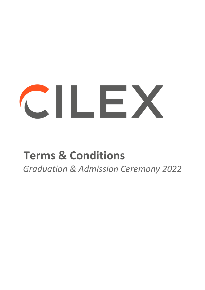# CILEX

# **Terms & Conditions**

*Graduation & Admission Ceremony 2022*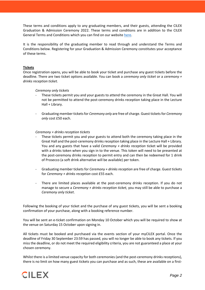These terms and conditions apply to any graduating members, and their guests, attending the CILEX Graduation & Admission Ceremony 2022. These terms and conditions are in addition to the CILEX General Terms and Conditions which you can find on our website here.

It is the responsibility of the graduating member to read through and understand the Terms and Conditions below. Registering for your Graduation & Admission Ceremony constitutes your acceptance of these terms.

# **Tickets**

Once registration opens, you will be able to book your ticket and purchase any guest tickets before the deadline. There are two ticket options available. You can book a *ceremony only ticket* or a *ceremony + drinks reception ticket*.

*Ceremony only tickets*

- These tickets permit you and your guests to attend the ceremony in the Great Hall. You will not be permitted to attend the post-ceremony drinks reception taking place in the Lecture Hall + Library.
- Graduating member tickets for *Ceremony only* are free of charge. Guest tickets for *Ceremony only* cost £50 each.

#### *Ceremony + drinks reception tickets*

- These tickets permit you and your guests to attend both the ceremony taking place in the Great Hall and the post-ceremony drinks reception taking place in the Lecture Hall + Library. You and any guests that have a valid *Ceremony + drinks reception* ticket will be provided with a drinks token when you sign in to the venue. This token will need to be presented at the post-ceremony drinks reception to permit entry and can then be redeemed for 1 drink of Prosecco (a soft drink alternative will be available) per token.
- Graduating member tickets for *Ceremony + drinks reception* are free of charge. Guest tickets for *Ceremony + drinks reception* cost £55 each.
- There are limited places available at the post-ceremony drinks reception. If you do not manage to secure a *Ceremony + drinks reception ticket,* you may still be able to purchase a *Ceremony only ticket*.

Following the booking of your ticket and the purchase of any guest tickets, you will be sent a booking confirmation of your purchase, along with a booking reference number.

You will be sent an e-ticket confirmation on Monday 10 October which you will be required to show at the venue on Saturday 15 October upon signing in.

All tickets must be booked and purchased via the events section of your myCILEX portal. Once the deadline of Friday 30 September 23:59 has passed, you will no longer be able to book any tickets. If you miss the deadline, or do not meet the required eligibility criteria, you are not guaranteed a place at your chosen ceremony.

Whilst there is a limited venue capacity for both ceremonies (and the post-ceremony drinks receptions), there is no limit on how many guest tickets you can purchase and as such, these are available on a first-

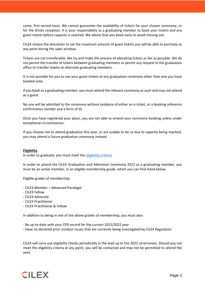come, first-served basis. We cannot guarantee the availability of tickets for your chosen ceremony, or for the drinks reception. It is your responsibility as a graduating member to book your tickets and any guest tickets before capacity is reached. We advise that you book early to avoid missing out.

CILEX retains the discretion to set the maximum amount of guest tickets you will be able to purchase at any point during the sales window.

Tickets are not transferable. We try and make the process of allocating tickets as fair as possible. We do not permit the transfer of tickets between graduating members or permit any request to the graduation office to transfer tickets to alternate graduating members.

It is not possible for you to use your guest tickets at any graduation ceremony other than one you have booked onto.

If you book as a graduating member, you must attend the relevant ceremony as such and may not attend as a guest.

No one will be admitted to the ceremony without evidence of either an e-ticket, or a booking reference confirmation number and a form of ID.

Once you have registered your place, you are not able to amend your ceremony booking unless under exceptional circumstances.

If you choose not to attend graduation this year, or are unable to do so due to capacity being reached, you may attend a future graduation ceremony instead.

# **Eligibility**

In order to graduate, you must meet the eligibility criteria.

In order to attend the CILEX Graduation and Admission Ceremony 2022 as a graduating member, you must be an active member, in an eligible membership grade, which you can find listed below.

Eligible grades of membership:

- CILEX Member Advanced Paralegal
- CILEX Fellow
- CILEX Advocate
- CILEX Practitioner
- CILEX Practitioner & Fellow

In addition to being in one of the above grades of membership, you must also:

- Be up-to-date with your CPD record for the current 2021/2022 year
- Have no declared prior conduct issues that are currently being investigated by CILEX Regulation

CILEX will carry out eligibility checks periodically in the lead up to the 2022 ceremonies. Should you not meet the eligibility criteria at any point, you will be contacted and may not be permitted to attend the vent.

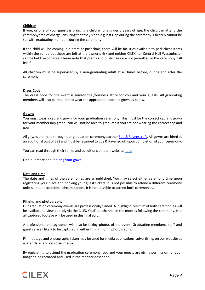# **Children**

If you, or one of your guests is bringing a child who is under 5 years of age, the child can attend the ceremony free of charge, ensuring that they sit on a guests lap during the ceremony. Children cannot be sat with graduating members during the ceremony.

If the child will be coming in a pram or pushchair, there will be facilities available to park these items within the venue but these are left at the owner's risk and neither CILEX nor Central Hall Westminster can be held responsible. Please note that prams and pushchairs are not permitted in the ceremony hall itself.

All children must be supervised by a non-graduating adult at all times before, during and after the ceremony.

#### **Dress Code**

The dress code for the event is semi-formal/business attire for you and your guests. All graduating members will also be required to wear the appropriate cap and gown as below.

#### **Gowns**

You must wear a cap and gown for your graduation ceremony. This must be the correct cap and gown for your membership grade. You will not be able to graduate if you are not wearing the correct cap and gown.

All gowns are hired through our graduation ceremony partner Ede & Ravenscroft. All gowns are hired at an additional cost of £32 and must be returned to Ede & Ravenscroft upon completion of your ceremony.

You can read through their terms and conditions on their website here.

Find out more about hiring your gown.

#### **Date and time**

The date and times of the ceremonies are as published. You may select either ceremony time upon registering your place and booking your guest tickets. It is not possible to attend a different ceremony unless under exceptional circumstances. It is not possible to attend both ceremonies.

#### **Filming and photography**

Our graduation ceremony events are professionally filmed. A 'highlight' reel film of both ceremonies will be available to view publicly via the CILEX YouTube channel in the months following the ceremony. Not all captured footage will be used in this final edit.

A professional photographer will also be taking photos of the event. Graduating members, staff and guests are all likely to be captured in either this film or in photographs.

Film footage and photographs taken may be used for media publications, advertising, on our website at a later date, and on social media.

By registering to attend the graduation ceremony, you and your guests are giving permission for your image to be recorded and used in the manner described.

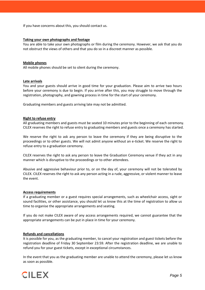If you have concerns about this, you should contact us.

## **Taking your own photographs and footage**

You are able to take your own photographs or film during the ceremony. However, we ask that you do not obstruct the views of others and that you do so in a discreet manner as possible.

#### **Mobile phones**

All mobile phones should be set to silent during the ceremony.

#### **Late arrivals**

You and your guests should arrive in good time for your graduation. Please aim to arrive two hours before your ceremony is due to begin. If you arrive after this, you may struggle to move through the registration, photography, and gowning process in time for the start of your ceremony.

Graduating members and guests arriving late may not be admitted.

#### **Right to refuse entry**

All graduating members and guests must be seated 10 minutes prior to the beginning of each ceremony. CILEX reserves the right to refuse entry to graduating members and guests once a ceremony has started.

We reserve the right to ask any person to leave the ceremony if they are being disruptive to the proceedings or to other guests. We will not admit anyone without an e-ticket. We reserve the right to refuse entry to a graduation ceremony.

CILEX reserves the right to ask any person to leave the Graduation Ceremony venue if they act in any manner which is disruptive to the proceedings or to other attendees.

Abusive and aggressive behaviour prior to, or on the day of, your ceremony will not be tolerated by CILEX. CILEX reserves the right to ask any person acting in a rude, aggressive, or violent manner to leave the event.

#### **Access requirements**

If a graduating member or a guest requires special arrangements, such as wheelchair access, sight or sound facilities, or other assistance, you should let us know this at the time of registration to allow us time to organise the appropriate arrangements and seating.

If you do not make CILEX aware of any access arrangements required, we cannot guarantee that the appropriate arrangements can be put in place in time for your ceremony.

# **Refunds and cancellations**

It is possible for you, as the graduating member, to cancel your registration and guest tickets before the registration deadline of Friday 30 September 23:59. After the registration deadline, we are unable to refund you for your guest tickets, except in exceptional circumstances.

In the event that you as the graduating member are unable to attend the ceremony, please let us know as soon as possible.